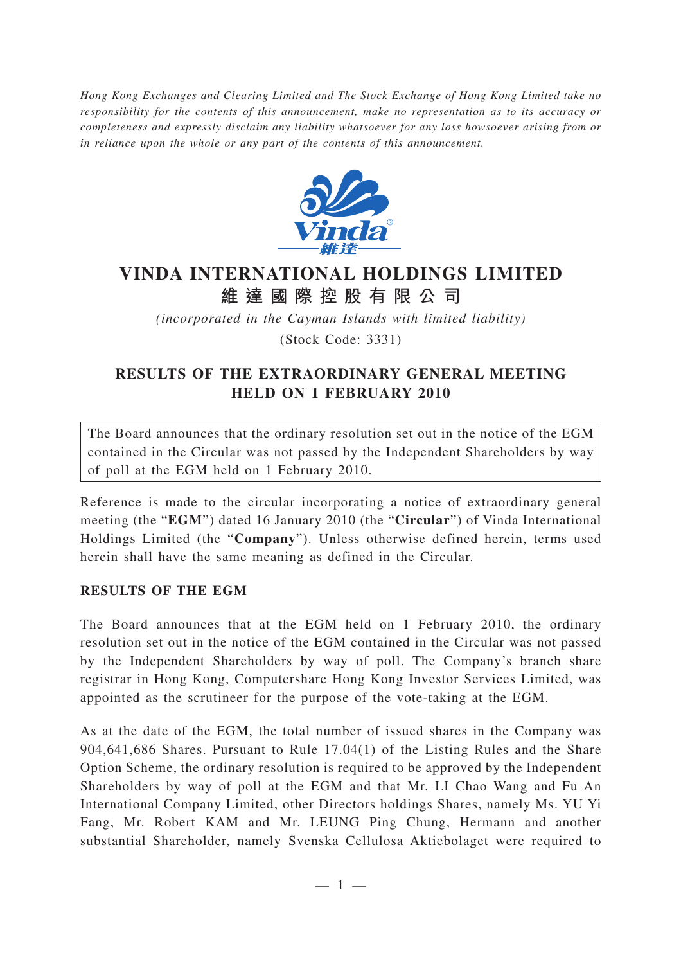*Hong Kong Exchanges and Clearing Limited and The Stock Exchange of Hong Kong Limited take no responsibility for the contents of this announcement, make no representation as to its accuracy or completeness and expressly disclaim any liability whatsoever for any loss howsoever arising from or in reliance upon the whole or any part of the contents of this announcement.*



## **VINDA INTERNATIONAL HOLDINGS LIMITED 維達國際控股有限公司**

*(incorporated in the Cayman Islands with limited liability)*

(Stock Code: 3331)

### **RESULTS OF THE EXTRAORDINARY GENERAL MEETING HELD ON 1 FEBRUARY 2010**

The Board announces that the ordinary resolution set out in the notice of the EGM contained in the Circular was not passed by the Independent Shareholders by way of poll at the EGM held on 1 February 2010.

Reference is made to the circular incorporating a notice of extraordinary general meeting (the "**EGM**") dated 16 January 2010 (the "**Circular**") of Vinda International Holdings Limited (the "**Company**"). Unless otherwise defined herein, terms used herein shall have the same meaning as defined in the Circular.

### **RESULTS OF THE EGM**

The Board announces that at the EGM held on 1 February 2010, the ordinary resolution set out in the notice of the EGM contained in the Circular was not passed by the Independent Shareholders by way of poll. The Company's branch share registrar in Hong Kong, Computershare Hong Kong Investor Services Limited, was appointed as the scrutineer for the purpose of the vote-taking at the EGM.

As at the date of the EGM, the total number of issued shares in the Company was 904,641,686 Shares. Pursuant to Rule 17.04(1) of the Listing Rules and the Share Option Scheme, the ordinary resolution is required to be approved by the Independent Shareholders by way of poll at the EGM and that Mr. LI Chao Wang and Fu An International Company Limited, other Directors holdings Shares, namely Ms. YU Yi Fang, Mr. Robert KAM and Mr. LEUNG Ping Chung, Hermann and another substantial Shareholder, namely Svenska Cellulosa Aktiebolaget were required to